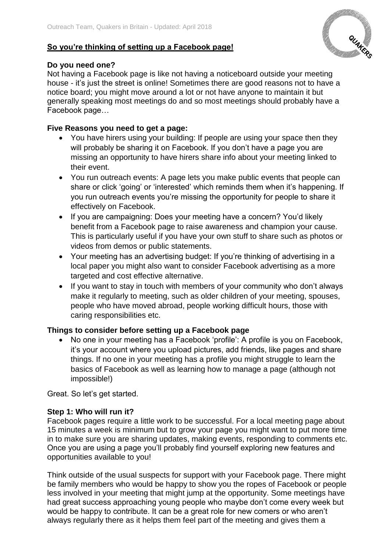## **So you're thinking of setting up a Facebook page!**



## **Do you need one?**

Not having a Facebook page is like not having a noticeboard outside your meeting house - it's just the street is online! Sometimes there are good reasons not to have a notice board; you might move around a lot or not have anyone to maintain it but generally speaking most meetings do and so most meetings should probably have a Facebook page…

## **Five Reasons you need to get a page:**

- You have hirers using your building: If people are using your space then they will probably be sharing it on Facebook. If you don't have a page you are missing an opportunity to have hirers share info about your meeting linked to their event.
- You run outreach events: A page lets you make public events that people can share or click 'going' or 'interested' which reminds them when it's happening. If you run outreach events you're missing the opportunity for people to share it effectively on Facebook.
- If you are campaigning: Does your meeting have a concern? You'd likely benefit from a Facebook page to raise awareness and champion your cause. This is particularly useful if you have your own stuff to share such as photos or videos from demos or public statements.
- Your meeting has an advertising budget: If you're thinking of advertising in a local paper you might also want to consider Facebook advertising as a more targeted and cost effective alternative.
- If you want to stay in touch with members of your community who don't always make it regularly to meeting, such as older children of your meeting, spouses, people who have moved abroad, people working difficult hours, those with caring responsibilities etc.

## **Things to consider before setting up a Facebook page**

• No one in your meeting has a Facebook 'profile': A profile is you on Facebook, it's your account where you upload pictures, add friends, like pages and share things. If no one in your meeting has a profile you might struggle to learn the basics of Facebook as well as learning how to manage a page (although not impossible!)

Great. So let's get started.

## **Step 1: Who will run it?**

Facebook pages require a little work to be successful. For a local meeting page about 15 minutes a week is minimum but to grow your page you might want to put more time in to make sure you are sharing updates, making events, responding to comments etc. Once you are using a page you'll probably find yourself exploring new features and opportunities available to you!

Think outside of the usual suspects for support with your Facebook page. There might be family members who would be happy to show you the ropes of Facebook or people less involved in your meeting that might jump at the opportunity. Some meetings have had great success approaching young people who maybe don't come every week but would be happy to contribute. It can be a great role for new comers or who aren't always regularly there as it helps them feel part of the meeting and gives them a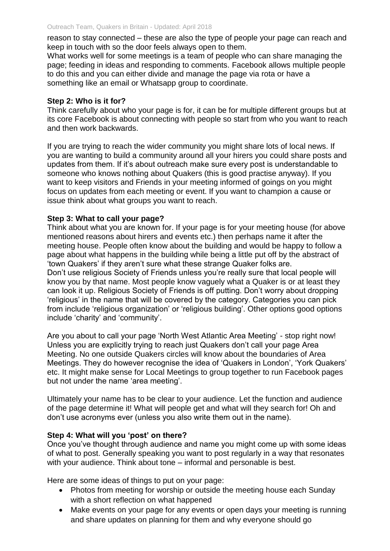reason to stay connected – these are also the type of people your page can reach and keep in touch with so the door feels always open to them.

What works well for some meetings is a team of people who can share managing the page; feeding in ideas and responding to comments. Facebook allows multiple people to do this and you can either divide and manage the page via rota or have a something like an email or Whatsapp group to coordinate.

#### **Step 2: Who is it for?**

Think carefully about who your page is for, it can be for multiple different groups but at its core Facebook is about connecting with people so start from who you want to reach and then work backwards.

If you are trying to reach the wider community you might share lots of local news. If you are wanting to build a community around all your hirers you could share posts and updates from them. If it's about outreach make sure every post is understandable to someone who knows nothing about Quakers (this is good practise anyway). If you want to keep visitors and Friends in your meeting informed of goings on you might focus on updates from each meeting or event. If you want to champion a cause or issue think about what groups you want to reach.

#### **Step 3: What to call your page?**

Think about what you are known for. If your page is for your meeting house (for above mentioned reasons about hirers and events etc.) then perhaps name it after the meeting house. People often know about the building and would be happy to follow a page about what happens in the building while being a little put off by the abstract of 'town Quakers' if they aren't sure what these strange Quaker folks are. Don't use religious Society of Friends unless you're really sure that local people will know you by that name. Most people know vaguely what a Quaker is or at least they can look it up. Religious Society of Friends is off putting. Don't worry about dropping 'religious' in the name that will be covered by the category. Categories you can pick from include 'religious organization' or 'religious building'. Other options good options include 'charity' and 'community'.

Are you about to call your page 'North West Atlantic Area Meeting' - stop right now! Unless you are explicitly trying to reach just Quakers don't call your page Area Meeting. No one outside Quakers circles will know about the boundaries of Area Meetings. They do however recognise the idea of 'Quakers in London', 'York Quakers' etc. It might make sense for Local Meetings to group together to run Facebook pages but not under the name 'area meeting'.

Ultimately your name has to be clear to your audience. Let the function and audience of the page determine it! What will people get and what will they search for! Oh and don't use acronyms ever (unless you also write them out in the name).

## **Step 4: What will you 'post' on there?**

Once you've thought through audience and name you might come up with some ideas of what to post. Generally speaking you want to post regularly in a way that resonates with your audience. Think about tone – informal and personable is best.

Here are some ideas of things to put on your page:

- Photos from meeting for worship or outside the meeting house each Sunday with a short reflection on what happened
- Make events on your page for any events or open days your meeting is running and share updates on planning for them and why everyone should go